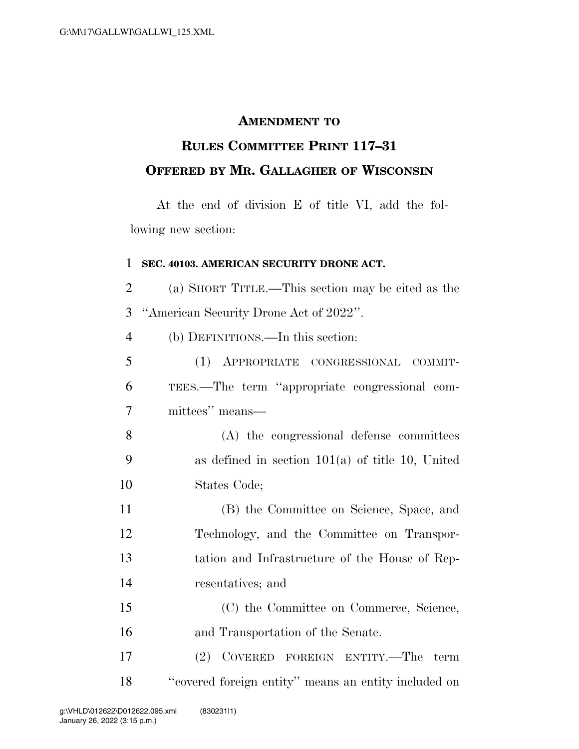## **AMENDMENT TO**

## **RULES COMMITTEE PRINT 117–31 OFFERED BY MR. GALLAGHER OF WISCONSIN**

At the end of division E of title VI, add the following new section:

## **SEC. 40103. AMERICAN SECURITY DRONE ACT.**

 (a) SHORT TITLE.—This section may be cited as the ''American Security Drone Act of 2022''. (b) DEFINITIONS.—In this section:

 (1) APPROPRIATE CONGRESSIONAL COMMIT- TEES.—The term ''appropriate congressional com-mittees'' means—

 (A) the congressional defense committees as defined in section 101(a) of title 10, United States Code;

 (B) the Committee on Science, Space, and Technology, and the Committee on Transpor- tation and Infrastructure of the House of Rep-resentatives; and

 (C) the Committee on Commerce, Science, and Transportation of the Senate.

 (2) COVERED FOREIGN ENTITY.—The term ''covered foreign entity'' means an entity included on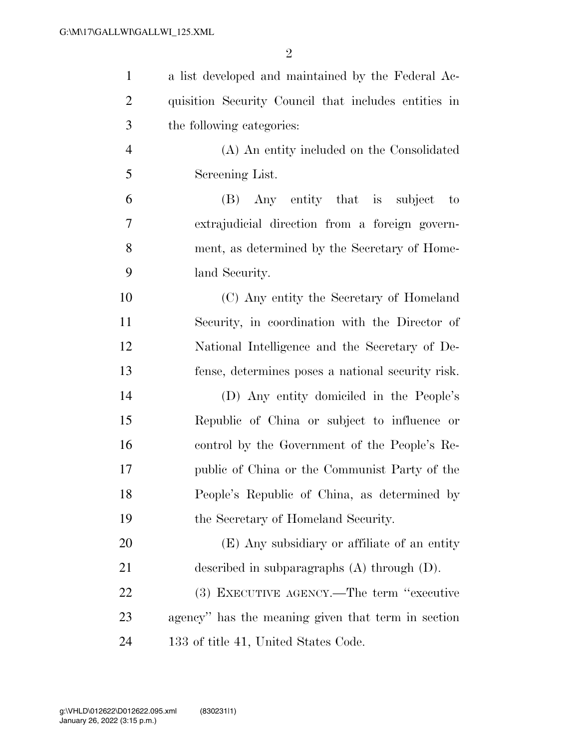| $\mathbf{1}$   | a list developed and maintained by the Federal Ac-   |
|----------------|------------------------------------------------------|
| $\overline{2}$ | quisition Security Council that includes entities in |
| 3              | the following categories:                            |
| $\overline{4}$ | (A) An entity included on the Consolidated           |
| 5              | Screening List.                                      |
| 6              | (B) Any entity that is subject<br>$\mathbf{t}$       |
| 7              | extrajudicial direction from a foreign govern-       |
| 8              | ment, as determined by the Secretary of Home-        |
| 9              | land Security.                                       |
| 10             | (C) Any entity the Secretary of Homeland             |
| 11             | Security, in coordination with the Director of       |
| 12             | National Intelligence and the Secretary of De-       |
| 13             | fense, determines poses a national security risk.    |
| 14             | (D) Any entity domiciled in the People's             |
| 15             | Republic of China or subject to influence or         |
| 16             | control by the Government of the People's Re-        |
| 17             | public of China or the Communist Party of the        |
| 18             | People's Republic of China, as determined by         |
| 19             | the Secretary of Homeland Security.                  |
| 20             | (E) Any subsidiary or affiliate of an entity         |
| 21             | described in subparagraphs $(A)$ through $(D)$ .     |
| 22             | (3) EXECUTIVE AGENCY.—The term "executive            |
| 23             | agency" has the meaning given that term in section   |
| 24             | 133 of title 41, United States Code.                 |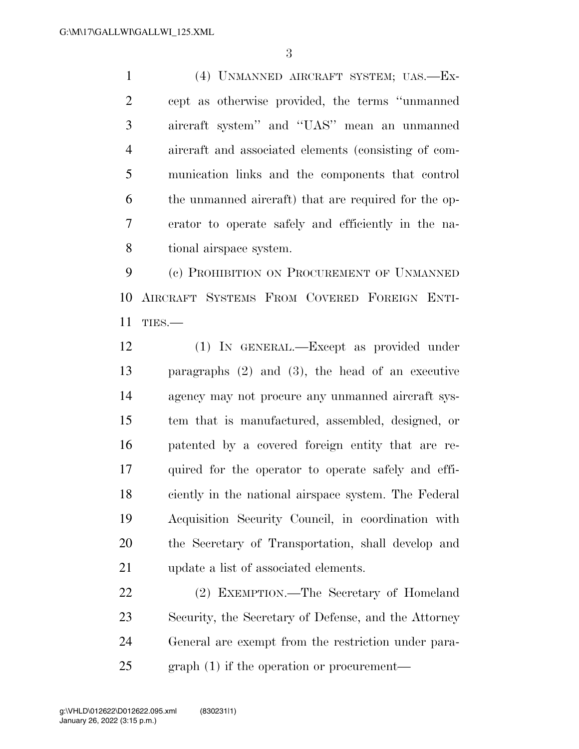(4) UNMANNED AIRCRAFT SYSTEM; UAS.—Ex- cept as otherwise provided, the terms ''unmanned aircraft system'' and ''UAS'' mean an unmanned aircraft and associated elements (consisting of com- munication links and the components that control the unmanned aircraft) that are required for the op- erator to operate safely and efficiently in the na-tional airspace system.

 (c) PROHIBITION ON PROCUREMENT OF UNMANNED AIRCRAFT SYSTEMS FROM COVERED FOREIGN ENTI-TIES.—

 (1) IN GENERAL.—Except as provided under paragraphs (2) and (3), the head of an executive agency may not procure any unmanned aircraft sys- tem that is manufactured, assembled, designed, or patented by a covered foreign entity that are re- quired for the operator to operate safely and effi- ciently in the national airspace system. The Federal Acquisition Security Council, in coordination with the Secretary of Transportation, shall develop and update a list of associated elements.

 (2) EXEMPTION.—The Secretary of Homeland Security, the Secretary of Defense, and the Attorney General are exempt from the restriction under para-graph (1) if the operation or procurement—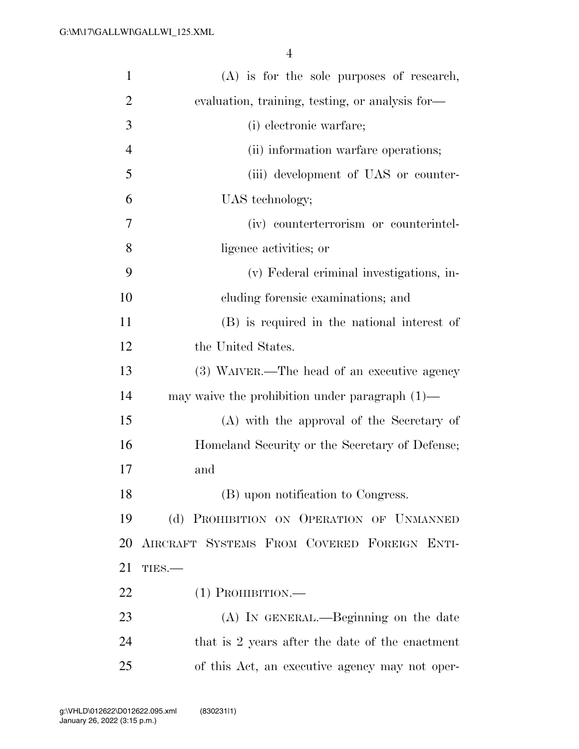| $\mathbf{1}$   | $(A)$ is for the sole purposes of research,       |
|----------------|---------------------------------------------------|
| $\overline{2}$ | evaluation, training, testing, or analysis for-   |
| 3              | (i) electronic warfare;                           |
| $\overline{4}$ | (ii) information warfare operations;              |
| 5              | (iii) development of UAS or counter-              |
| 6              | UAS technology;                                   |
| 7              | (iv) counterterrorism or counterintel-            |
| 8              | ligence activities; or                            |
| 9              | (v) Federal criminal investigations, in-          |
| 10             | cluding forensic examinations; and                |
| 11             | (B) is required in the national interest of       |
| 12             | the United States.                                |
| 13             | (3) WAIVER.—The head of an executive agency       |
| 14             | may waive the prohibition under paragraph $(1)$ — |
| 15             | (A) with the approval of the Secretary of         |
| 16             | Homeland Security or the Secretary of Defense;    |
| 17             | and                                               |
| 18             | (B) upon notification to Congress.                |
| 19             | (d) PROHIBITION ON OPERATION OF UNMANNED          |
| 20             | AIRCRAFT SYSTEMS FROM COVERED FOREIGN ENTI-       |
| 21             | TIES.                                             |
| 22             | $(1)$ Prohibition.—                               |
| 23             | (A) IN GENERAL.—Beginning on the date             |
| 24             | that is 2 years after the date of the enactment   |
| 25             | of this Act, an executive agency may not oper-    |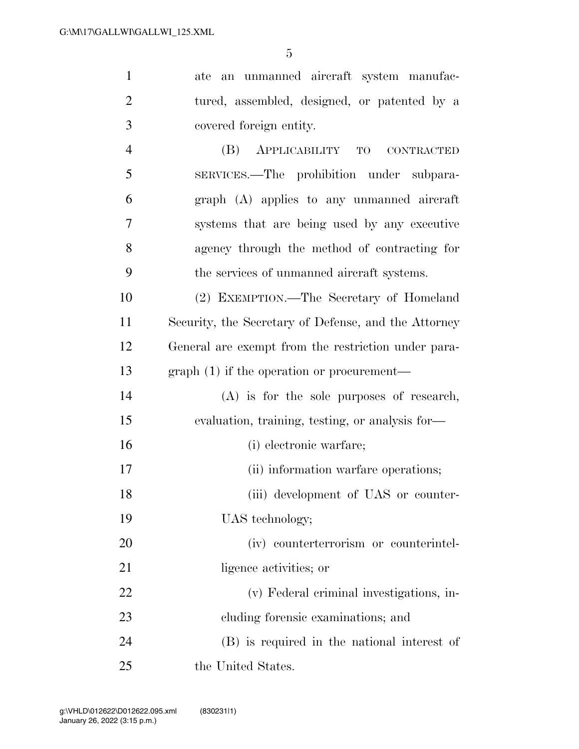| $\mathbf{1}$   | ate an unmanned aircraft system manufac-             |
|----------------|------------------------------------------------------|
| $\overline{2}$ | tured, assembled, designed, or patented by a         |
| 3              | covered foreign entity.                              |
| $\overline{4}$ | (B)<br>APPLICABILITY TO<br><b>CONTRACTED</b>         |
| 5              | SERVICES.—The prohibition under subpara-             |
| 6              | graph (A) applies to any unmanned aircraft           |
| $\overline{7}$ | systems that are being used by any executive         |
| 8              | agency through the method of contracting for         |
| 9              | the services of unmanned aircraft systems.           |
| 10             | (2) EXEMPTION.—The Secretary of Homeland             |
| 11             | Security, the Secretary of Defense, and the Attorney |
| 12             | General are exempt from the restriction under para-  |
| 13             | $graph(1)$ if the operation or procurement—          |
| 14             | $(A)$ is for the sole purposes of research,          |
| 15             | evaluation, training, testing, or analysis for-      |
| 16             | (i) electronic warfare;                              |
| 17             | (ii) information warfare operations;                 |
| 18             | (iii) development of UAS or counter-                 |
| 19             | UAS technology;                                      |
| 20             | (iv) counterterrorism or counterintel-               |
| 21             | ligence activities; or                               |
| 22             | (v) Federal criminal investigations, in-             |
| 23             | cluding forensic examinations; and                   |
| 24             | (B) is required in the national interest of          |
| 25             | the United States.                                   |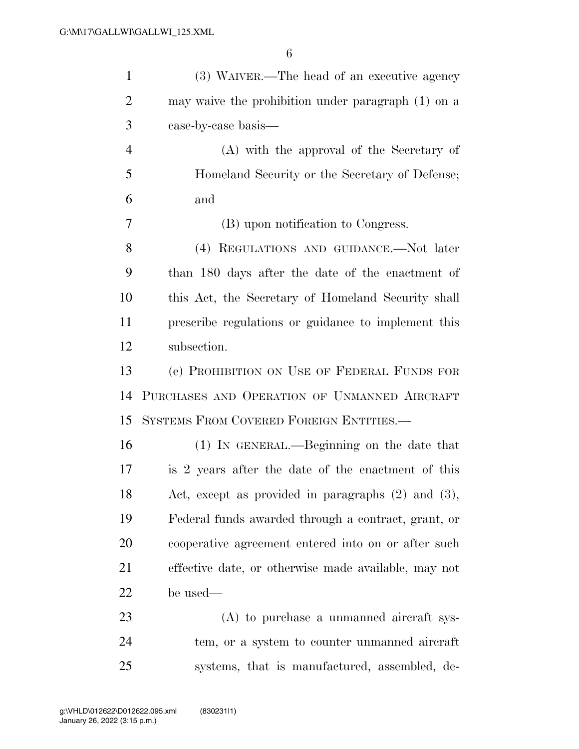| $\mathbf{1}$   | (3) WAIVER.—The head of an executive agency             |
|----------------|---------------------------------------------------------|
| $\overline{2}$ | may waive the prohibition under paragraph (1) on a      |
| 3              | case-by-case basis—                                     |
| $\overline{4}$ | (A) with the approval of the Secretary of               |
| 5              | Homeland Security or the Secretary of Defense;          |
| 6              | and                                                     |
| 7              | (B) upon notification to Congress.                      |
| 8              | (4) REGULATIONS AND GUIDANCE.—Not later                 |
| 9              | than 180 days after the date of the enactment of        |
| 10             | this Act, the Secretary of Homeland Security shall      |
| 11             | prescribe regulations or guidance to implement this     |
| 12             | subsection.                                             |
| 13             | (e) PROHIBITION ON USE OF FEDERAL FUNDS FOR             |
| 14             | PURCHASES AND OPERATION OF UNMANNED AIRCRAFT            |
| 15             | SYSTEMS FROM COVERED FOREIGN ENTITIES.                  |
| 16             | (1) IN GENERAL.—Beginning on the date that              |
| 17             | is 2 years after the date of the enactment of this      |
| 18             | Act, except as provided in paragraphs $(2)$ and $(3)$ , |
| 19             | Federal funds awarded through a contract, grant, or     |
| 20             | cooperative agreement entered into on or after such     |
| 21             | effective date, or otherwise made available, may not    |
| 22             | be used—                                                |
| 23             | $(A)$ to purchase a unmanned aircraft sys-              |
| 24             | tem, or a system to counter unmanned aircraft           |
| 25             | systems, that is manufactured, assembled, de-           |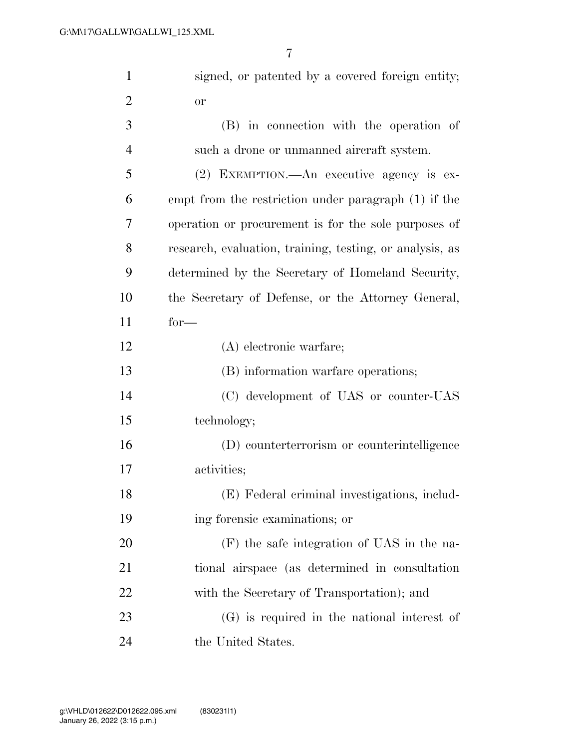| $\mathbf{1}$   | signed, or patented by a covered foreign entity;         |
|----------------|----------------------------------------------------------|
| $\overline{2}$ | or                                                       |
| 3              | (B) in connection with the operation of                  |
| $\overline{4}$ | such a drone or unmanned aircraft system.                |
| 5              | (2) EXEMPTION.—An executive agency is ex-                |
| 6              | empt from the restriction under paragraph (1) if the     |
| 7              | operation or procurement is for the sole purposes of     |
| 8              | research, evaluation, training, testing, or analysis, as |
| 9              | determined by the Secretary of Homeland Security,        |
| 10             | the Secretary of Defense, or the Attorney General,       |
| 11             | $for-$                                                   |
| 12             | $(A)$ electronic warfare;                                |
| 13             | (B) information warfare operations;                      |
| 14             | (C) development of UAS or counter-UAS                    |
| 15             | technology;                                              |
| 16             | (D) counterterrorism or counterintelligence              |
| 17             | activities;                                              |
| 18             | (E) Federal criminal investigations, includ-             |
| 19             | ing forensic examinations; or                            |
| 20             | (F) the safe integration of UAS in the na-               |
| 21             | tional airspace (as determined in consultation           |
| 22             | with the Secretary of Transportation); and               |
| 23             | $(G)$ is required in the national interest of            |
| 24             | the United States.                                       |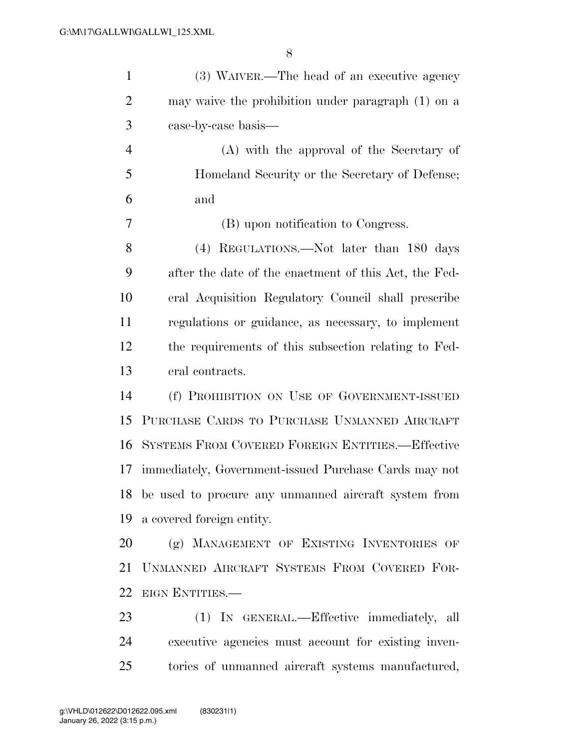| $\mathbf{1}$   | (3) WAIVER.—The head of an executive agency             |
|----------------|---------------------------------------------------------|
| $\overline{2}$ | may waive the prohibition under paragraph (1) on a      |
| 3              | case-by-case basis—                                     |
| $\overline{4}$ | (A) with the approval of the Secretary of               |
| 5              | Homeland Security or the Secretary of Defense;          |
| 6              | and                                                     |
| 7              | (B) upon notification to Congress.                      |
| 8              | (4) REGULATIONS.—Not later than 180 days                |
| 9              | after the date of the enactment of this Act, the Fed-   |
| 10             | eral Acquisition Regulatory Council shall prescribe     |
| 11             | regulations or guidance, as necessary, to implement     |
| 12             | the requirements of this subsection relating to Fed-    |
| 13             | eral contracts.                                         |
| 14             | (f) PROHIBITION ON USE OF GOVERNMENT-ISSUED             |
| 15             | PURCHASE CARDS TO PURCHASE UNMANNED AIRCRAFT            |
| 16             | SYSTEMS FROM COVERED FOREIGN ENTITIES.-Effective        |
| 17             | immediately, Government-issued Purchase Cards may not   |
|                | 18 be used to procure any unmanned aircraft system from |
| 19             | a covered foreign entity.                               |
| 20             | (g) MANAGEMENT OF EXISTING INVENTORIES OF               |
| 21             | UNMANNED AIRCRAFT SYSTEMS FROM COVERED FOR-             |
| 22             | EIGN ENTITIES.                                          |
| 23             | (1) IN GENERAL.—Effective immediately, all              |
| 24             | executive agencies must account for existing inven-     |
| 25             | tories of unmanned aircraft systems manufactured,       |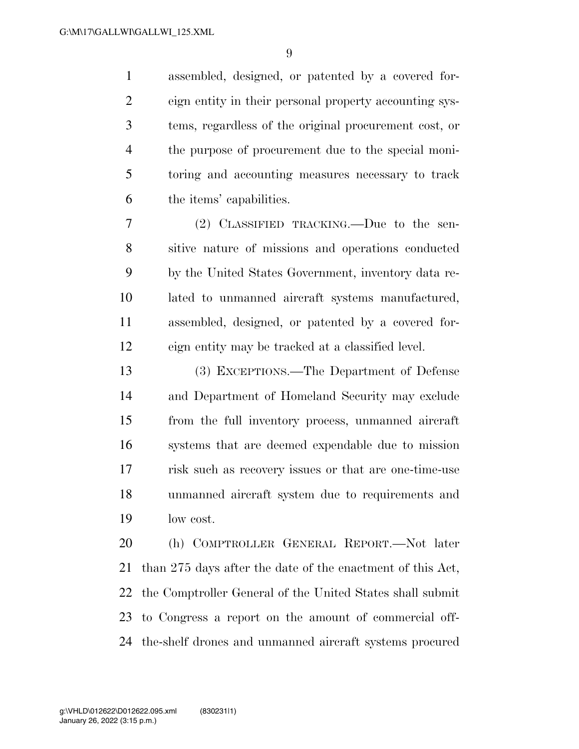assembled, designed, or patented by a covered for- eign entity in their personal property accounting sys- tems, regardless of the original procurement cost, or the purpose of procurement due to the special moni- toring and accounting measures necessary to track the items' capabilities.

 (2) CLASSIFIED TRACKING.—Due to the sen- sitive nature of missions and operations conducted by the United States Government, inventory data re- lated to unmanned aircraft systems manufactured, assembled, designed, or patented by a covered for-eign entity may be tracked at a classified level.

 (3) EXCEPTIONS.—The Department of Defense and Department of Homeland Security may exclude from the full inventory process, unmanned aircraft systems that are deemed expendable due to mission risk such as recovery issues or that are one-time-use unmanned aircraft system due to requirements and low cost.

 (h) COMPTROLLER GENERAL REPORT.—Not later than 275 days after the date of the enactment of this Act, the Comptroller General of the United States shall submit to Congress a report on the amount of commercial off-the-shelf drones and unmanned aircraft systems procured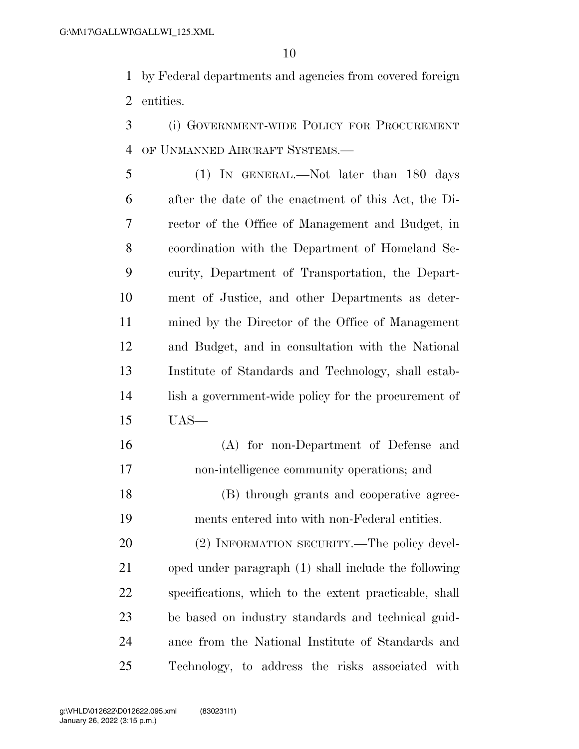by Federal departments and agencies from covered foreign entities.

 (i) GOVERNMENT-WIDE POLICY FOR PROCUREMENT OF UNMANNED AIRCRAFT SYSTEMS.—

 (1) IN GENERAL.—Not later than 180 days after the date of the enactment of this Act, the Di- rector of the Office of Management and Budget, in coordination with the Department of Homeland Se- curity, Department of Transportation, the Depart- ment of Justice, and other Departments as deter- mined by the Director of the Office of Management and Budget, and in consultation with the National Institute of Standards and Technology, shall estab- lish a government-wide policy for the procurement of UAS—

 (A) for non-Department of Defense and non-intelligence community operations; and

 (B) through grants and cooperative agree-ments entered into with non-Federal entities.

20 (2) INFORMATION SECURITY.—The policy devel- oped under paragraph (1) shall include the following specifications, which to the extent practicable, shall be based on industry standards and technical guid- ance from the National Institute of Standards and Technology, to address the risks associated with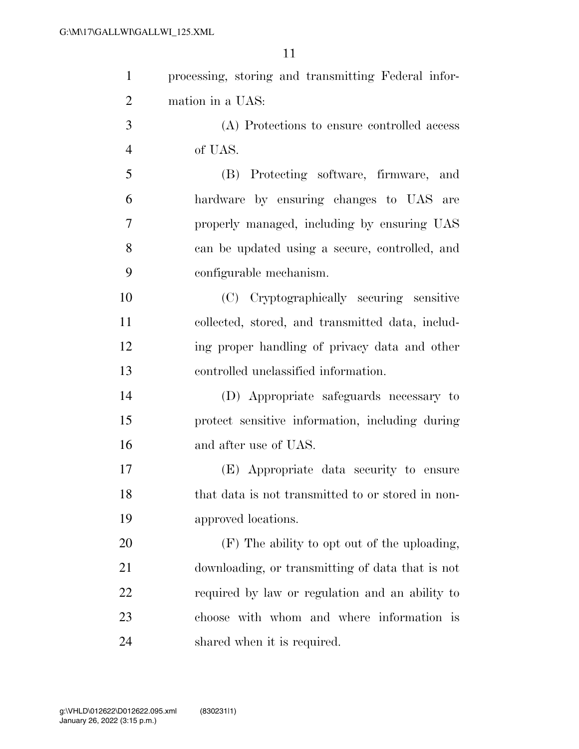| processing, storing and transmitting Federal infor-<br>(A) Protections to ensure controlled access<br>and<br>hardware by ensuring changes to UAS are<br>properly managed, including by ensuring UAS |
|-----------------------------------------------------------------------------------------------------------------------------------------------------------------------------------------------------|
|                                                                                                                                                                                                     |
|                                                                                                                                                                                                     |
|                                                                                                                                                                                                     |
|                                                                                                                                                                                                     |
|                                                                                                                                                                                                     |
|                                                                                                                                                                                                     |
|                                                                                                                                                                                                     |
| can be updated using a secure, controlled, and                                                                                                                                                      |
|                                                                                                                                                                                                     |
| (C) Cryptographically securing sensitive                                                                                                                                                            |
| collected, stored, and transmitted data, includ-                                                                                                                                                    |
| ing proper handling of privacy data and other                                                                                                                                                       |
|                                                                                                                                                                                                     |
| (D) Appropriate safeguards necessary to                                                                                                                                                             |
| protect sensitive information, including during                                                                                                                                                     |
|                                                                                                                                                                                                     |
| (E) Appropriate data security to ensure                                                                                                                                                             |
| that data is not transmitted to or stored in non-                                                                                                                                                   |
|                                                                                                                                                                                                     |
|                                                                                                                                                                                                     |
| (F) The ability to opt out of the uploading,                                                                                                                                                        |
| downloading, or transmitting of data that is not                                                                                                                                                    |
| required by law or regulation and an ability to                                                                                                                                                     |
| choose with whom and where information is                                                                                                                                                           |
|                                                                                                                                                                                                     |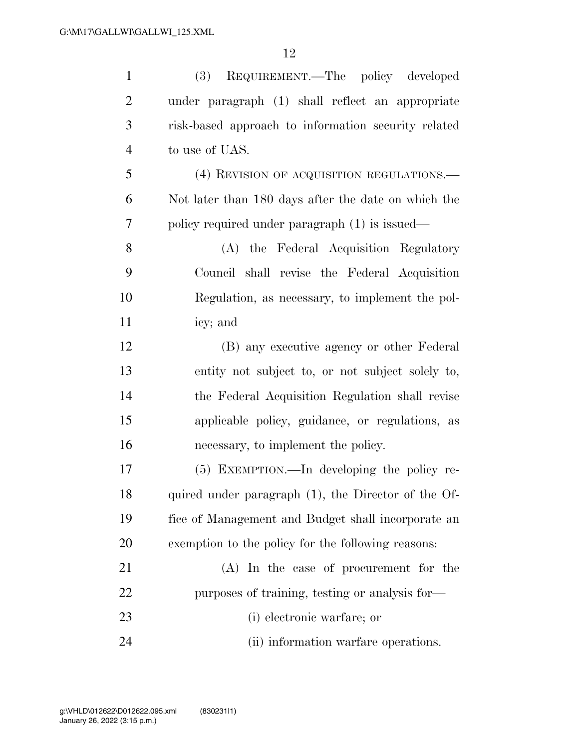| $\mathbf{1}$   | REQUIREMENT.—The policy developed<br>(3)            |
|----------------|-----------------------------------------------------|
| $\overline{2}$ | under paragraph (1) shall reflect an appropriate    |
| 3              | risk-based approach to information security related |
| $\overline{4}$ | to use of UAS.                                      |
| 5              | (4) REVISION OF ACQUISITION REGULATIONS.            |
| 6              | Not later than 180 days after the date on which the |
| 7              | policy required under paragraph (1) is issued—      |
| 8              | (A) the Federal Acquisition Regulatory              |
| 9              | Council shall revise the Federal Acquisition        |
| 10             | Regulation, as necessary, to implement the pol-     |
| 11             | icy; and                                            |
| 12             | (B) any executive agency or other Federal           |
| 13             | entity not subject to, or not subject solely to,    |
| 14             | the Federal Acquisition Regulation shall revise     |
| 15             | applicable policy, guidance, or regulations, as     |
| 16             | necessary, to implement the policy.                 |
| 17             | (5) EXEMPTION.—In developing the policy re-         |
| 18             | quired under paragraph (1), the Director of the Of- |
| 19             | fice of Management and Budget shall incorporate an  |
| 20             | exemption to the policy for the following reasons:  |
| 21             | (A) In the case of procurement for the              |
| 22             | purposes of training, testing or analysis for-      |
| 23             | (i) electronic warfare; or                          |
| 24             | (ii) information warfare operations.                |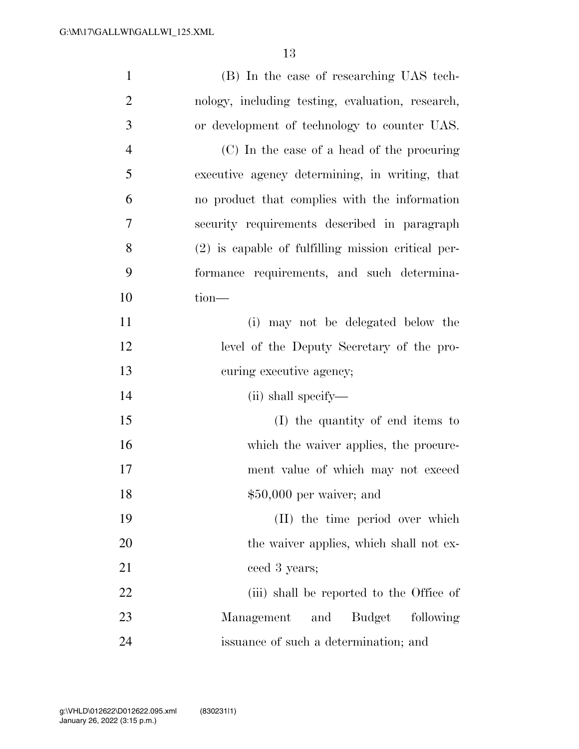| $\mathbf{1}$   | (B) In the case of researching UAS tech-             |
|----------------|------------------------------------------------------|
| $\overline{2}$ | nology, including testing, evaluation, research,     |
| 3              | or development of technology to counter UAS.         |
| $\overline{4}$ | (C) In the case of a head of the procuring           |
| 5              | executive agency determining, in writing, that       |
| 6              | no product that complies with the information        |
| 7              | security requirements described in paragraph         |
| 8              | $(2)$ is capable of fulfilling mission critical per- |
| 9              | formance requirements, and such determina-           |
| 10             | tion-                                                |
| 11             | (i) may not be delegated below the                   |
| 12             | level of the Deputy Secretary of the pro-            |
| 13             | curing executive agency;                             |
| 14             | (ii) shall specify—                                  |
| 15             | (I) the quantity of end items to                     |
| 16             | which the waiver applies, the procure-               |
| 17             | ment value of which may not exceed                   |
| 18             | $$50,000$ per waiver; and                            |
| 19             | (II) the time period over which                      |
| 20             | the waiver applies, which shall not ex-              |
| 21             | ceed 3 years;                                        |
| 22             | (iii) shall be reported to the Office of             |
| 23             | <b>Budget</b><br>following<br>Management<br>and      |
| 24             | issuance of such a determination; and                |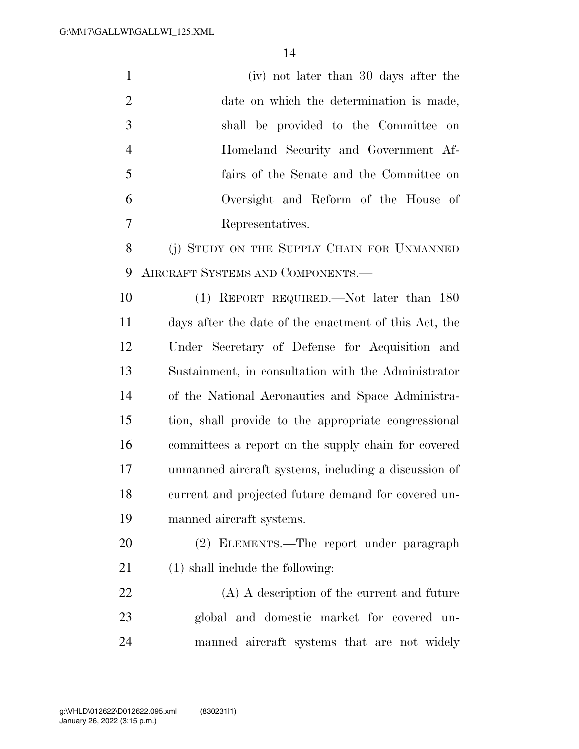| $\mathbf{1}$   | (iv) not later than 30 days after the                 |
|----------------|-------------------------------------------------------|
| $\overline{2}$ | date on which the determination is made,              |
| 3              | shall be provided to the Committee on                 |
| $\overline{4}$ | Homeland Security and Government Af-                  |
| 5              | fairs of the Senate and the Committee on              |
| 6              | Oversight and Reform of the House of                  |
| 7              | Representatives.                                      |
| 8              | (j) STUDY ON THE SUPPLY CHAIN FOR UNMANNED            |
| 9              | AIRCRAFT SYSTEMS AND COMPONENTS.—                     |
| 10             | $(1)$ REPORT REQUIRED.—Not later than 180             |
| 11             | days after the date of the enactment of this Act, the |
| 12             | Under Secretary of Defense for Acquisition and        |
| 13             | Sustainment, in consultation with the Administrator   |
| 14             | of the National Aeronautics and Space Administra-     |
| 15             | tion, shall provide to the appropriate congressional  |
| 16             | committees a report on the supply chain for covered   |
| 17             | unmanned aircraft systems, including a discussion of  |
| 18             | current and projected future demand for covered un-   |
| 19             | manned aircraft systems.                              |
| 20             | (2) ELEMENTS.—The report under paragraph              |
| 21             | $(1)$ shall include the following:                    |
| 22             | (A) A description of the current and future           |
| 23             | global and domestic market for covered un-            |
| 24             | manned aircraft systems that are not widely           |